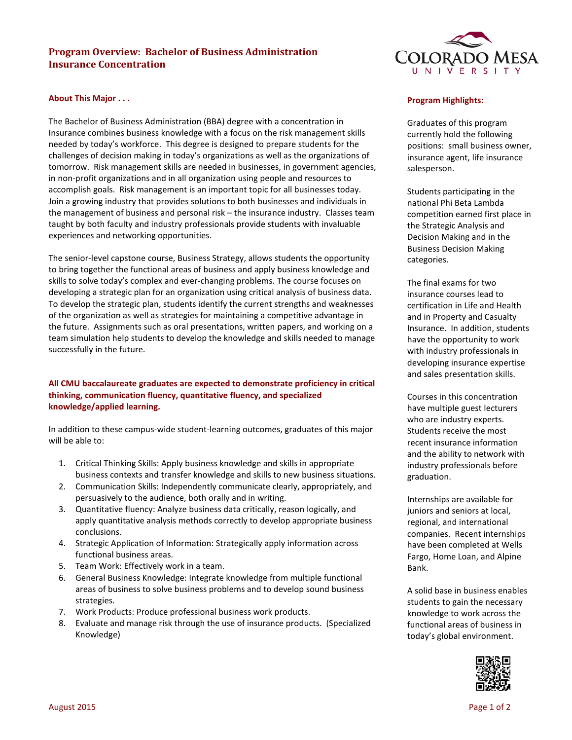# **Program Overview: Bachelor of Business Administration Insurance Concentration**

### **About This Major . . .**

The Bachelor of Business Administration (BBA) degree with a concentration in Insurance combines business knowledge with a focus on the risk management skills needed by today's workforce. This degree is designed to prepare students for the challenges of decision making in today's organizations as well as the organizations of tomorrow. Risk management skills are needed in businesses, in government agencies, in non-profit organizations and in all organization using people and resources to accomplish goals. Risk management is an important topic for all businesses today. Join a growing industry that provides solutions to both businesses and individuals in the management of business and personal risk – the insurance industry. Classes team taught by both faculty and industry professionals provide students with invaluable experiences and networking opportunities.

The senior-level capstone course, Business Strategy, allows students the opportunity to bring together the functional areas of business and apply business knowledge and skills to solve today's complex and ever-changing problems. The course focuses on developing a strategic plan for an organization using critical analysis of business data. To develop the strategic plan, students identify the current strengths and weaknesses of the organization as well as strategies for maintaining a competitive advantage in the future. Assignments such as oral presentations, written papers, and working on a team simulation help students to develop the knowledge and skills needed to manage successfully in the future.

# **All CMU baccalaureate graduates are expected to demonstrate proficiency in critical thinking, communication fluency, quantitative fluency, and specialized knowledge/applied learning.**

In addition to these campus-wide student-learning outcomes, graduates of this major will be able to:

- 1. Critical Thinking Skills: Apply business knowledge and skills in appropriate business contexts and transfer knowledge and skills to new business situations.
- 2. Communication Skills: Independently communicate clearly, appropriately, and persuasively to the audience, both orally and in writing.
- 3. Quantitative fluency: Analyze business data critically, reason logically, and apply quantitative analysis methods correctly to develop appropriate business conclusions.
- 4. Strategic Application of Information: Strategically apply information across functional business areas.
- 5. Team Work: Effectively work in a team.
- 6. General Business Knowledge: Integrate knowledge from multiple functional areas of business to solve business problems and to develop sound business strategies.
- 7. Work Products: Produce professional business work products.
- 8. Evaluate and manage risk through the use of insurance products. (Specialized Knowledge)



#### **Program Highlights:**

Graduates of this program currently hold the following positions: small business owner, insurance agent, life insurance salesperson.

Students participating in the national Phi Beta Lambda competition earned first place in the Strategic Analysis and Decision Making and in the Business Decision Making categories.

The final exams for two insurance courses lead to certification in Life and Health and in Property and Casualty Insurance. In addition, students have the opportunity to work with industry professionals in developing insurance expertise and sales presentation skills.

Courses in this concentration have multiple guest lecturers who are industry experts. Students receive the most recent insurance information and the ability to network with industry professionals before graduation.

Internships are available for juniors and seniors at local, regional, and international companies. Recent internships have been completed at Wells Fargo, Home Loan, and Alpine Bank.

A solid base in business enables students to gain the necessary knowledge to work across the functional areas of business in today's global environment.